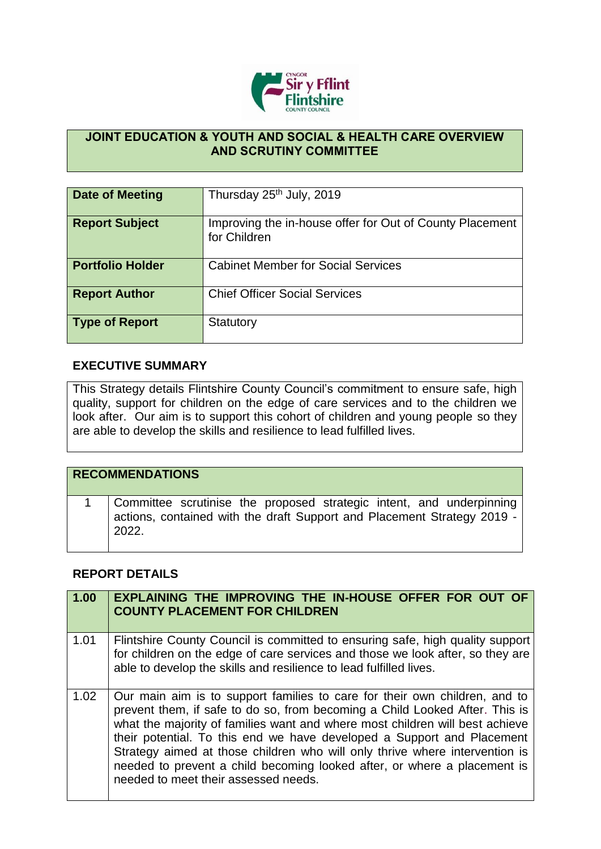

### **JOINT EDUCATION & YOUTH AND SOCIAL & HEALTH CARE OVERVIEW AND SCRUTINY COMMITTEE**

| <b>Date of Meeting</b>  | Thursday 25 <sup>th</sup> July, 2019                                     |
|-------------------------|--------------------------------------------------------------------------|
| <b>Report Subject</b>   | Improving the in-house offer for Out of County Placement<br>for Children |
| <b>Portfolio Holder</b> | <b>Cabinet Member for Social Services</b>                                |
| <b>Report Author</b>    | <b>Chief Officer Social Services</b>                                     |
| <b>Type of Report</b>   | Statutory                                                                |

#### **EXECUTIVE SUMMARY**

This Strategy details Flintshire County Council's commitment to ensure safe, high quality, support for children on the edge of care services and to the children we look after. Our aim is to support this cohort of children and young people so they are able to develop the skills and resilience to lead fulfilled lives.

| <b>RECOMMENDATIONS</b>                                                                                                                                   |
|----------------------------------------------------------------------------------------------------------------------------------------------------------|
| Committee scrutinise the proposed strategic intent, and underpinning<br>actions, contained with the draft Support and Placement Strategy 2019 -<br>2022. |

#### **REPORT DETAILS**

| 1.00 | EXPLAINING THE IMPROVING THE IN-HOUSE OFFER FOR OUT OF<br><b>COUNTY PLACEMENT FOR CHILDREN</b>                                                                                                                                                                                                                                                                                                                                                                                                                         |
|------|------------------------------------------------------------------------------------------------------------------------------------------------------------------------------------------------------------------------------------------------------------------------------------------------------------------------------------------------------------------------------------------------------------------------------------------------------------------------------------------------------------------------|
| 1.01 | Flintshire County Council is committed to ensuring safe, high quality support<br>for children on the edge of care services and those we look after, so they are<br>able to develop the skills and resilience to lead fulfilled lives.                                                                                                                                                                                                                                                                                  |
| 1.02 | Our main aim is to support families to care for their own children, and to<br>prevent them, if safe to do so, from becoming a Child Looked After. This is<br>what the majority of families want and where most children will best achieve<br>their potential. To this end we have developed a Support and Placement<br>Strategy aimed at those children who will only thrive where intervention is<br>needed to prevent a child becoming looked after, or where a placement is<br>needed to meet their assessed needs. |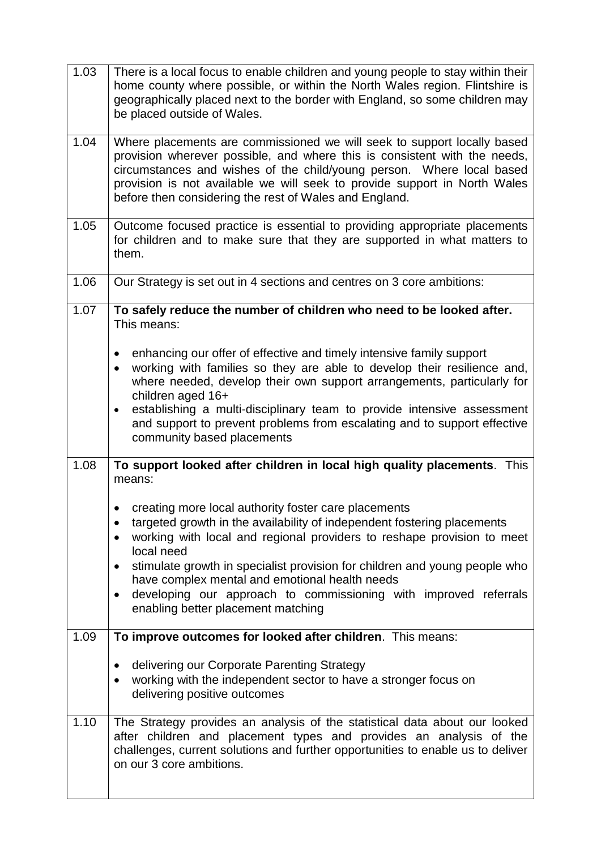| 1.03 | There is a local focus to enable children and young people to stay within their<br>home county where possible, or within the North Wales region. Flintshire is<br>geographically placed next to the border with England, so some children may<br>be placed outside of Wales.                                                                                                                                                                                                                     |
|------|--------------------------------------------------------------------------------------------------------------------------------------------------------------------------------------------------------------------------------------------------------------------------------------------------------------------------------------------------------------------------------------------------------------------------------------------------------------------------------------------------|
| 1.04 | Where placements are commissioned we will seek to support locally based<br>provision wherever possible, and where this is consistent with the needs,<br>circumstances and wishes of the child/young person. Where local based<br>provision is not available we will seek to provide support in North Wales<br>before then considering the rest of Wales and England.                                                                                                                             |
| 1.05 | Outcome focused practice is essential to providing appropriate placements<br>for children and to make sure that they are supported in what matters to<br>them.                                                                                                                                                                                                                                                                                                                                   |
| 1.06 | Our Strategy is set out in 4 sections and centres on 3 core ambitions:                                                                                                                                                                                                                                                                                                                                                                                                                           |
| 1.07 | To safely reduce the number of children who need to be looked after.<br>This means:                                                                                                                                                                                                                                                                                                                                                                                                              |
|      | enhancing our offer of effective and timely intensive family support<br>$\bullet$<br>working with families so they are able to develop their resilience and,<br>$\bullet$<br>where needed, develop their own support arrangements, particularly for<br>children aged 16+<br>establishing a multi-disciplinary team to provide intensive assessment<br>$\bullet$<br>and support to prevent problems from escalating and to support effective<br>community based placements                        |
| 1.08 | To support looked after children in local high quality placements. This<br>means:                                                                                                                                                                                                                                                                                                                                                                                                                |
|      | creating more local authority foster care placements<br>$\bullet$<br>targeted growth in the availability of independent fostering placements<br>٠<br>working with local and regional providers to reshape provision to meet<br>local need<br>stimulate growth in specialist provision for children and young people who<br>have complex mental and emotional health needs<br>developing our approach to commissioning with improved referrals<br>$\bullet$<br>enabling better placement matching |
| 1.09 | To improve outcomes for looked after children. This means:                                                                                                                                                                                                                                                                                                                                                                                                                                       |
|      | delivering our Corporate Parenting Strategy<br>$\bullet$<br>working with the independent sector to have a stronger focus on<br>delivering positive outcomes                                                                                                                                                                                                                                                                                                                                      |
| 1.10 | The Strategy provides an analysis of the statistical data about our looked<br>after children and placement types and provides an analysis of the<br>challenges, current solutions and further opportunities to enable us to deliver<br>on our 3 core ambitions.                                                                                                                                                                                                                                  |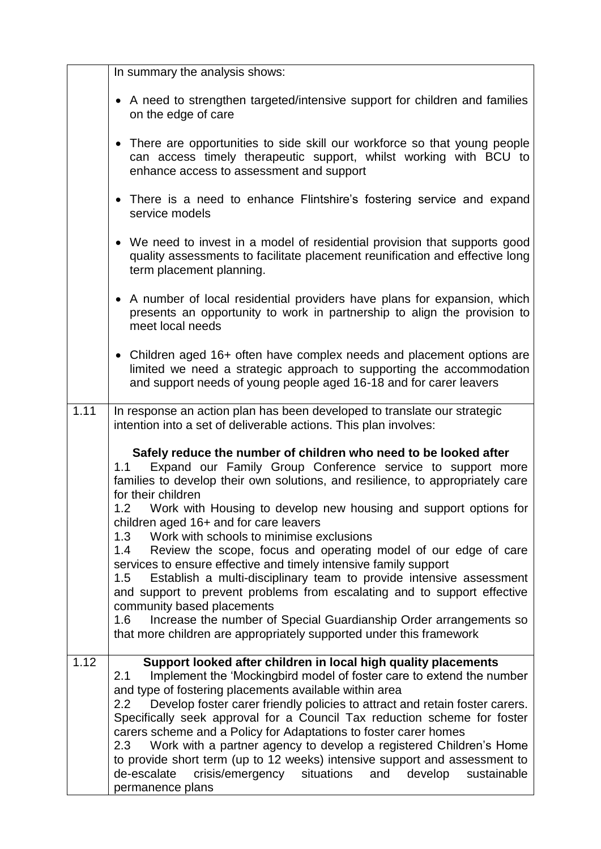|      | In summary the analysis shows:                                                                                                                                                                                                                                                                                                                                                                                                                                                                                                                                                                                                                                                                                                                                                                                                       |
|------|--------------------------------------------------------------------------------------------------------------------------------------------------------------------------------------------------------------------------------------------------------------------------------------------------------------------------------------------------------------------------------------------------------------------------------------------------------------------------------------------------------------------------------------------------------------------------------------------------------------------------------------------------------------------------------------------------------------------------------------------------------------------------------------------------------------------------------------|
|      | • A need to strengthen targeted/intensive support for children and families<br>on the edge of care                                                                                                                                                                                                                                                                                                                                                                                                                                                                                                                                                                                                                                                                                                                                   |
|      | • There are opportunities to side skill our workforce so that young people<br>can access timely therapeutic support, whilst working with BCU to<br>enhance access to assessment and support                                                                                                                                                                                                                                                                                                                                                                                                                                                                                                                                                                                                                                          |
|      | • There is a need to enhance Flintshire's fostering service and expand<br>service models                                                                                                                                                                                                                                                                                                                                                                                                                                                                                                                                                                                                                                                                                                                                             |
|      | • We need to invest in a model of residential provision that supports good<br>quality assessments to facilitate placement reunification and effective long<br>term placement planning.                                                                                                                                                                                                                                                                                                                                                                                                                                                                                                                                                                                                                                               |
|      | • A number of local residential providers have plans for expansion, which<br>presents an opportunity to work in partnership to align the provision to<br>meet local needs                                                                                                                                                                                                                                                                                                                                                                                                                                                                                                                                                                                                                                                            |
|      | • Children aged 16+ often have complex needs and placement options are<br>limited we need a strategic approach to supporting the accommodation<br>and support needs of young people aged 16-18 and for carer leavers                                                                                                                                                                                                                                                                                                                                                                                                                                                                                                                                                                                                                 |
| 1.11 | In response an action plan has been developed to translate our strategic<br>intention into a set of deliverable actions. This plan involves:                                                                                                                                                                                                                                                                                                                                                                                                                                                                                                                                                                                                                                                                                         |
|      | Safely reduce the number of children who need to be looked after<br>Expand our Family Group Conference service to support more<br>1.1<br>families to develop their own solutions, and resilience, to appropriately care<br>for their children<br>1.2 Work with Housing to develop new housing and support options for<br>children aged 16+ and for care leavers<br>Work with schools to minimise exclusions<br>1.3<br>Review the scope, focus and operating model of our edge of care<br>1.4<br>services to ensure effective and timely intensive family support<br>Establish a multi-disciplinary team to provide intensive assessment<br>1.5<br>and support to prevent problems from escalating and to support effective<br>community based placements<br>Increase the number of Special Guardianship Order arrangements so<br>1.6 |
|      | that more children are appropriately supported under this framework                                                                                                                                                                                                                                                                                                                                                                                                                                                                                                                                                                                                                                                                                                                                                                  |
| 1.12 | Support looked after children in local high quality placements<br>Implement the 'Mockingbird model of foster care to extend the number<br>2.1<br>and type of fostering placements available within area<br>Develop foster carer friendly policies to attract and retain foster carers.<br>$2.2^{\circ}$<br>Specifically seek approval for a Council Tax reduction scheme for foster<br>carers scheme and a Policy for Adaptations to foster carer homes<br>Work with a partner agency to develop a registered Children's Home<br>2.3<br>to provide short term (up to 12 weeks) intensive support and assessment to<br>crisis/emergency situations<br>de-escalate<br>and<br>develop<br>sustainable<br>permanence plans                                                                                                                |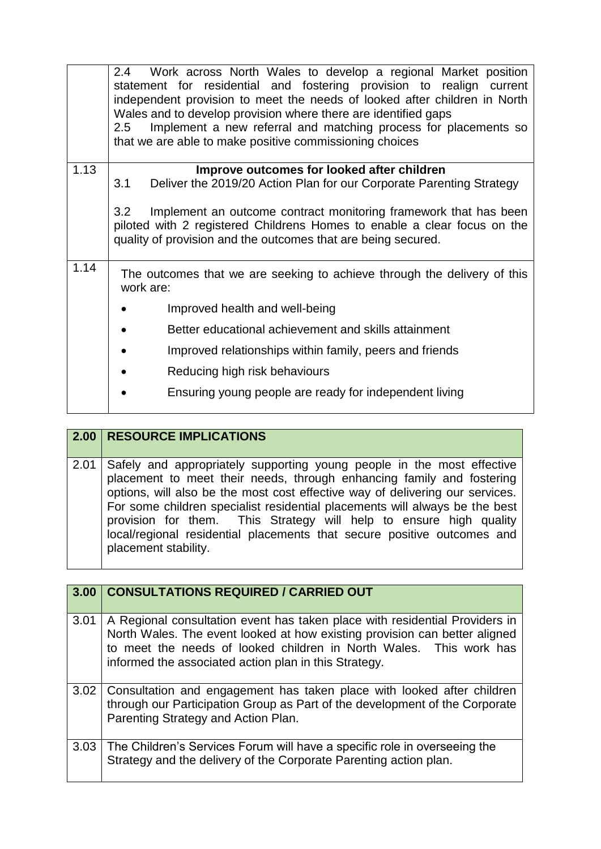|      | 2.4 Work across North Wales to develop a regional Market position<br>statement for residential and fostering provision to realign current<br>independent provision to meet the needs of looked after children in North<br>Wales and to develop provision where there are identified gaps<br>Implement a new referral and matching process for placements so<br>2.5<br>that we are able to make positive commissioning choices |
|------|-------------------------------------------------------------------------------------------------------------------------------------------------------------------------------------------------------------------------------------------------------------------------------------------------------------------------------------------------------------------------------------------------------------------------------|
| 1.13 | Improve outcomes for looked after children                                                                                                                                                                                                                                                                                                                                                                                    |
|      | Deliver the 2019/20 Action Plan for our Corporate Parenting Strategy<br>3.1                                                                                                                                                                                                                                                                                                                                                   |
|      | Implement an outcome contract monitoring framework that has been<br>3.2<br>piloted with 2 registered Childrens Homes to enable a clear focus on the<br>quality of provision and the outcomes that are being secured.                                                                                                                                                                                                          |
| 1.14 | The outcomes that we are seeking to achieve through the delivery of this<br>work are:                                                                                                                                                                                                                                                                                                                                         |
|      | Improved health and well-being                                                                                                                                                                                                                                                                                                                                                                                                |
|      | Better educational achievement and skills attainment                                                                                                                                                                                                                                                                                                                                                                          |
|      | Improved relationships within family, peers and friends                                                                                                                                                                                                                                                                                                                                                                       |
|      | Reducing high risk behaviours                                                                                                                                                                                                                                                                                                                                                                                                 |
|      | Ensuring young people are ready for independent living                                                                                                                                                                                                                                                                                                                                                                        |
|      |                                                                                                                                                                                                                                                                                                                                                                                                                               |

## **2.00 RESOURCE IMPLICATIONS**

2.01 Safely and appropriately supporting young people in the most effective placement to meet their needs, through enhancing family and fostering options, will also be the most cost effective way of delivering our services. For some children specialist residential placements will always be the best provision for them. This Strategy will help to ensure high quality local/regional residential placements that secure positive outcomes and placement stability.

| 3.00 | <b>CONSULTATIONS REQUIRED / CARRIED OUT</b>                                                                                                                                                                                                                                              |
|------|------------------------------------------------------------------------------------------------------------------------------------------------------------------------------------------------------------------------------------------------------------------------------------------|
| 3.01 | A Regional consultation event has taken place with residential Providers in<br>North Wales. The event looked at how existing provision can better aligned<br>to meet the needs of looked children in North Wales. This work has<br>informed the associated action plan in this Strategy. |
| 3.02 | Consultation and engagement has taken place with looked after children<br>through our Participation Group as Part of the development of the Corporate<br>Parenting Strategy and Action Plan.                                                                                             |
| 3.03 | The Children's Services Forum will have a specific role in overseeing the<br>Strategy and the delivery of the Corporate Parenting action plan.                                                                                                                                           |